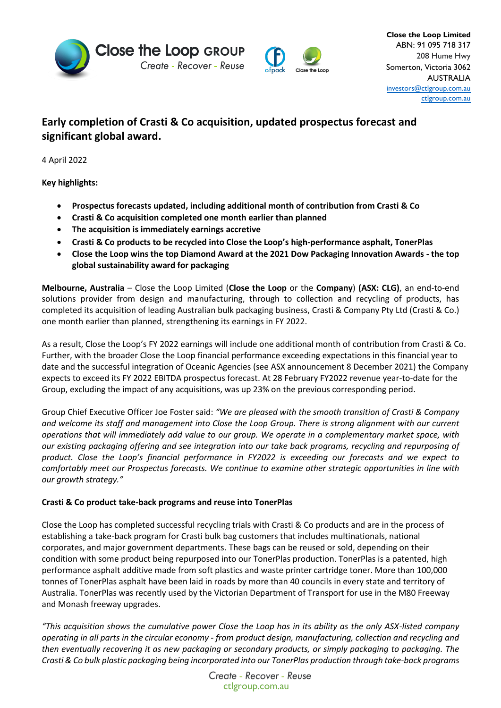



## **Early completion of Crasti & Co acquisition, updated prospectus forecast and significant global award.**

4 April 2022

**Key highlights:** 

- **Prospectus forecasts updated, including additional month of contribution from Crasti & Co**
- **Crasti & Co acquisition completed one month earlier than planned**
- **The acquisition is immediately earnings accretive**
- **Crasti & Co products to be recycled into Close the Loop's high-performance asphalt, TonerPlas**
- **Close the Loop wins the top Diamond Award at the 2021 Dow Packaging Innovation Awards - the top global sustainability award for packaging**

**Melbourne, Australia** – Close the Loop Limited (**Close the Loop** or the **Company**) **(ASX: CLG)**, an end-to-end solutions provider from design and manufacturing, through to collection and recycling of products, has completed its acquisition of leading Australian bulk packaging business, Crasti & Company Pty Ltd (Crasti & Co.) one month earlier than planned, strengthening its earnings in FY 2022.

As a result, Close the Loop's FY 2022 earnings will include one additional month of contribution from Crasti & Co. Further, with the broader Close the Loop financial performance exceeding expectations in this financial year to date and the successful integration of Oceanic Agencies (see ASX announcement 8 December 2021) the Company expects to exceed its FY 2022 EBITDA prospectus forecast. At 28 February FY2022 revenue year-to-date for the Group, excluding the impact of any acquisitions, was up 23% on the previous corresponding period.

Group Chief Executive Officer Joe Foster said: *"We are pleased with the smooth transition of Crasti & Company and welcome its staff and management into Close the Loop Group. There is strong alignment with our current operations that will immediately add value to our group. We operate in a complementary market space, with our existing packaging offering and see integration into our take back programs, recycling and repurposing of product. Close the Loop's financial performance in FY2022 is exceeding our forecasts and we expect to comfortably meet our Prospectus forecasts. We continue to examine other strategic opportunities in line with our growth strategy."*

## **Crasti & Co product take-back programs and reuse into TonerPlas**

Close the Loop has completed successful recycling trials with Crasti & Co products and are in the process of establishing a take-back program for Crasti bulk bag customers that includes multinationals, national corporates, and major government departments. These bags can be reused or sold, depending on their condition with some product being repurposed into our TonerPlas production. TonerPlas is a patented, high performance asphalt additive made from soft plastics and waste printer cartridge toner. More than 100,000 tonnes of TonerPlas asphalt have been laid in roads by more than 40 councils in every state and territory of Australia. TonerPlas was recently used by the Victorian Department of Transport for use in the M80 Freeway and Monash freeway upgrades.

*"This acquisition shows the cumulative power Close the Loop has in its ability as the only ASX-listed company operating in all parts in the circular economy - from product design, manufacturing, collection and recycling and then eventually recovering it as new packaging or secondary products, or simply packaging to packaging. The Crasti & Co bulk plastic packaging being incorporated into our TonerPlas production through take-back programs* 

> Create - Recover - Reuse ctlgroup.com.au